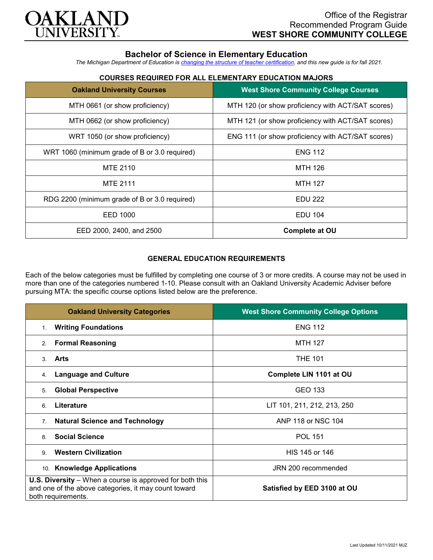

# **Bachelor of Science in Elementary Education**

*The Michigan Department of Education is [changing the structure of teacher certification,](https://docs.google.com/document/d/1W1uUK14Njx6WAB56T4jHbat65OZyg6TS04LdNWMXEcI/edit) and this new guide is for fall 2021.*

## **COURSES REQUIRED FOR ALL ELEMENTARY EDUCATION MAJORS**

| <b>Oakland University Courses</b>             | <b>West Shore Community College Courses</b>       |
|-----------------------------------------------|---------------------------------------------------|
| MTH 0661 (or show proficiency)                | MTH 120 (or show proficiency with ACT/SAT scores) |
| MTH 0662 (or show proficiency)                | MTH 121 (or show proficiency with ACT/SAT scores) |
| WRT 1050 (or show proficiency)                | ENG 111 (or show proficiency with ACT/SAT scores) |
| WRT 1060 (minimum grade of B or 3.0 required) | <b>ENG 112</b>                                    |
| MTE 2110                                      | MTH 126                                           |
| <b>MTE 2111</b>                               | <b>MTH 127</b>                                    |
| RDG 2200 (minimum grade of B or 3.0 required) | <b>EDU 222</b>                                    |
| EED 1000                                      | <b>EDU 104</b>                                    |
| EED 2000, 2400, and 2500                      | <b>Complete at OU</b>                             |

### **GENERAL EDUCATION REQUIREMENTS**

Each of the below categories must be fulfilled by completing one course of 3 or more credits. A course may not be used in more than one of the categories numbered 1-10. Please consult with an Oakland University Academic Adviser before pursuing MTA: the specific course options listed below are the preference.

| <b>Oakland University Categories</b>                                                                                                          | <b>West Shore Community College Options</b> |
|-----------------------------------------------------------------------------------------------------------------------------------------------|---------------------------------------------|
| <b>Writing Foundations</b><br>1 <sup>1</sup>                                                                                                  | <b>ENG 112</b>                              |
| <b>Formal Reasoning</b><br>2.                                                                                                                 | <b>MTH 127</b>                              |
| Arts<br>3.                                                                                                                                    | <b>THE 101</b>                              |
| <b>Language and Culture</b><br>4.                                                                                                             | Complete LIN 1101 at OU                     |
| <b>Global Perspective</b><br>5.                                                                                                               | <b>GEO 133</b>                              |
| Literature<br>6.                                                                                                                              | LIT 101, 211, 212, 213, 250                 |
| <b>Natural Science and Technology</b><br>7.                                                                                                   | ANP 118 or NSC 104                          |
| <b>Social Science</b><br>8                                                                                                                    | <b>POL 151</b>                              |
| <b>Western Civilization</b><br>9                                                                                                              | HIS 145 or 146                              |
| 10. Knowledge Applications                                                                                                                    | JRN 200 recommended                         |
| <b>U.S. Diversity</b> – When a course is approved for both this<br>and one of the above categories, it may count toward<br>both requirements. | Satisfied by EED 3100 at OU                 |